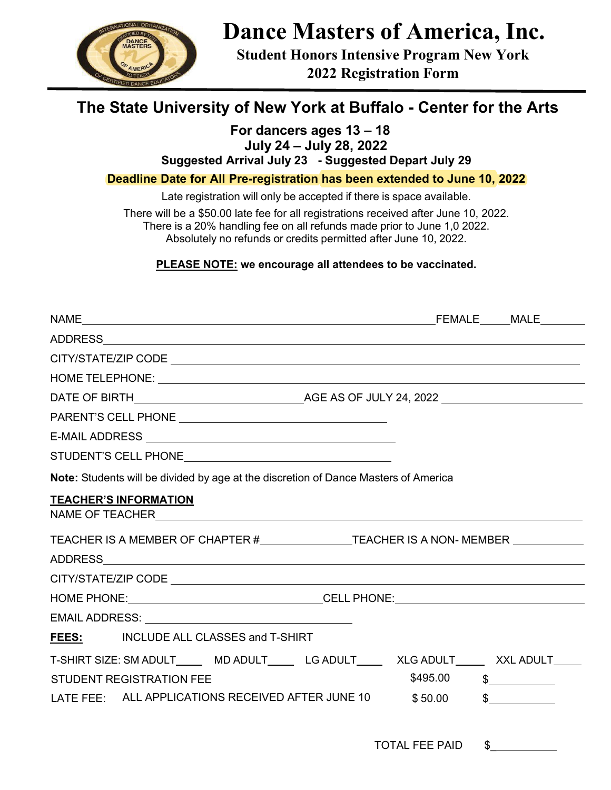

# **Dance Masters of America, Inc.**

**Student Honors Intensive Program New York 2022 Registration Form** 

# **The State University of New York at Buffalo - Center for the Arts**

## **For dancers ages 13 – 18**

**July 24 – July 28, 2022**

**Suggested Arrival July 23 - Suggested Depart July 29** 

**Deadline Date for All Pre-registration has been extended to June 10, 2022** 

Late registration will only be accepted if there is space available.

There will be a \$50.00 late fee for all registrations received after June 10, 2022. There is a 20% handling fee on all refunds made prior to June 1,0 2022. Absolutely no refunds or credits permitted after June 10, 2022.

**PLEASE NOTE: we encourage all attendees to be vaccinated.**

|                                       | Note: Students will be divided by age at the discretion of Dance Masters of America                                                                                                  |
|---------------------------------------|--------------------------------------------------------------------------------------------------------------------------------------------------------------------------------------|
| <b>TEACHER'S INFORMATION</b>          | TEACHER IS A MEMBER OF CHAPTER #_________________TEACHER IS A NON-MEMBER ___________                                                                                                 |
|                                       |                                                                                                                                                                                      |
|                                       |                                                                                                                                                                                      |
|                                       | HOME PHONE: CELL PHONE: CELL PHONE:                                                                                                                                                  |
|                                       |                                                                                                                                                                                      |
| FEES: INCLUDE ALL CLASSES and T-SHIRT |                                                                                                                                                                                      |
| <b>STUDENT REGISTRATION FEE</b>       | T-SHIRT SIZE: SM ADULT______ MD ADULT_______ LG ADULT_______ XLG ADULT_______ XXL ADULT_____<br>$$495.00$ $$$<br>LATE FEE: ALL APPLICATIONS RECEIVED AFTER JUNE 10 \$50.00<br>$\sim$ |
|                                       | TOTAL FEE PAID \$                                                                                                                                                                    |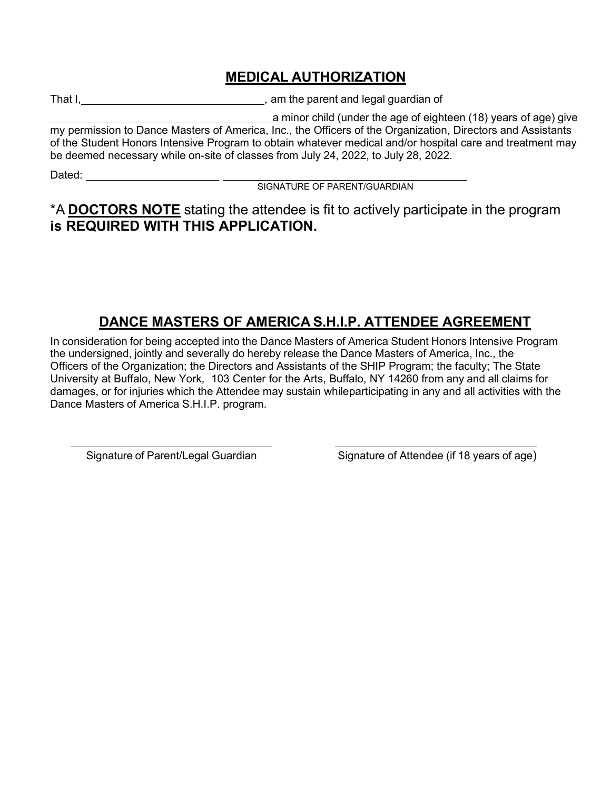### **MEDICAL AUTHORIZATION**

That I, That I, Committee Committee Committee Committee Committee Committee Committee Committee Committee Committee Committee Committee Committee Committee Committee Committee Committee Committee Committee Committee Commit

a minor child (under the age of eighteen (18) years of age) give my permission to Dance Masters of America, Inc., the Officers of the Organization, Directors and Assistants of the Student Honors Intensive Program to obtain whatever medical and/or hospital care and treatment may be deemed necessary while on-site of classes from July 24, 2022, to July 28, 2022.

Dated:

SIGNATURE OF PARENT/GUARDIAN

\*A **DOCTORS NOTE** stating the attendee is fit to actively participate in the program **is REQUIRED WITH THIS APPLICATION.**

### **DANCE MASTERS OF AMERICA S.H.I.P. ATTENDEE AGREEMENT**

In consideration for being accepted into the Dance Masters of America Student Honors Intensive Program the undersigned, jointly and severally do hereby release the Dance Masters of America, Inc., the Officers of the Organization; the Directors and Assistants of the SHIP Program; the faculty; The State University at Buffalo, New York, 103 Center for the Arts, Buffalo, NY 14260 from any and all claims for damages, or for injuries which the Attendee may sustain while participating in any and all activities with the Dance Masters of America S.H.I.P. program.

Signature of Parent/Legal Guardian Signature of Attendee (if 18 years of age)